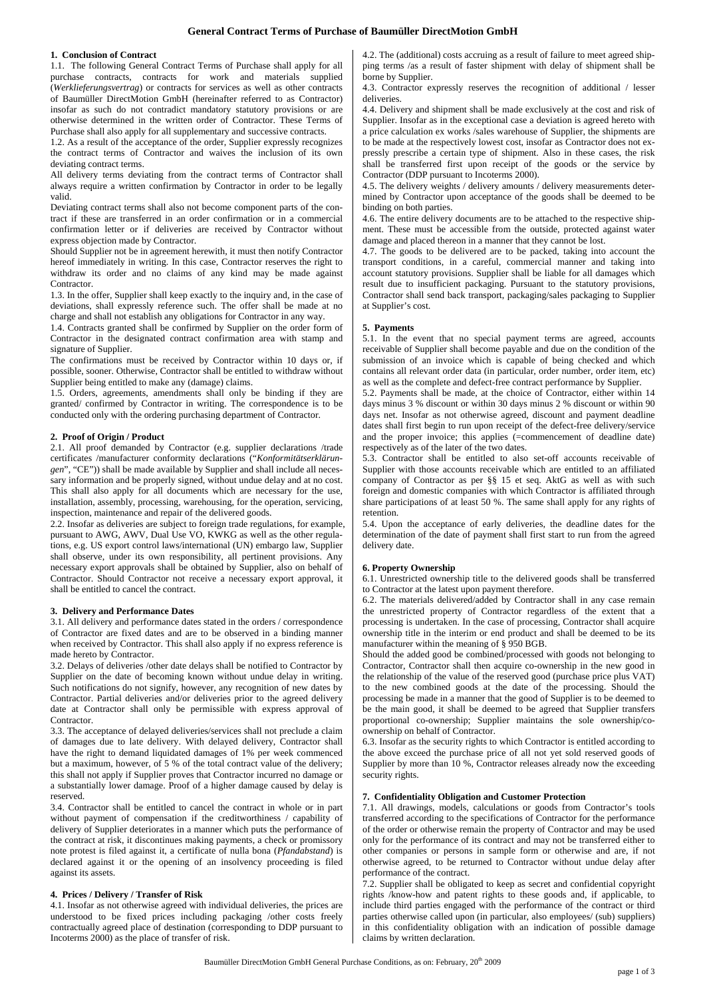# **General Contract Terms of Purchase of Baumüller DirectMotion GmbH**

#### **1. Conclusion of Contract**

1.1. The following General Contract Terms of Purchase shall apply for all purchase contracts, contracts for work and materials supplied (*Werklieferungsvertrag*) or contracts for services as well as other contracts of Baumüller DirectMotion GmbH (hereinafter referred to as Contractor) insofar as such do not contradict mandatory statutory provisions or are otherwise determined in the written order of Contractor. These Terms of Purchase shall also apply for all supplementary and successive contracts.

1.2. As a result of the acceptance of the order, Supplier expressly recognizes the contract terms of Contractor and waives the inclusion of its own deviating contract terms.

All delivery terms deviating from the contract terms of Contractor shall always require a written confirmation by Contractor in order to be legally valid.

Deviating contract terms shall also not become component parts of the contract if these are transferred in an order confirmation or in a commercial confirmation letter or if deliveries are received by Contractor without express objection made by Contractor.

Should Supplier not be in agreement herewith, it must then notify Contractor hereof immediately in writing. In this case, Contractor reserves the right to withdraw its order and no claims of any kind may be made against **Contractor** 

1.3. In the offer, Supplier shall keep exactly to the inquiry and, in the case of deviations, shall expressly reference such. The offer shall be made at no charge and shall not establish any obligations for Contractor in any way.

1.4. Contracts granted shall be confirmed by Supplier on the order form of Contractor in the designated contract confirmation area with stamp and signature of Supplier.

The confirmations must be received by Contractor within 10 days or, if possible, sooner. Otherwise, Contractor shall be entitled to withdraw without Supplier being entitled to make any (damage) claims.

1.5. Orders, agreements, amendments shall only be binding if they are granted/ confirmed by Contractor in writing. The correspondence is to be conducted only with the ordering purchasing department of Contractor.

#### **2. Proof of Origin / Product**

2.1. All proof demanded by Contractor (e.g. supplier declarations /trade certificates /manufacturer conformity declarations ("*Konformitätserklärungen*", "CE")) shall be made available by Supplier and shall include all necessary information and be properly signed, without undue delay and at no cost. This shall also apply for all documents which are necessary for the use, installation, assembly, processing, warehousing, for the operation, servicing, inspection, maintenance and repair of the delivered goods.

2.2. Insofar as deliveries are subject to foreign trade regulations, for example, pursuant to AWG, AWV, Dual Use VO, KWKG as well as the other regulations, e.g. US export control laws/international (UN) embargo law, Supplier shall observe, under its own responsibility, all pertinent provisions. Any necessary export approvals shall be obtained by Supplier, also on behalf of Contractor. Should Contractor not receive a necessary export approval, it shall be entitled to cancel the contract.

#### **3. Delivery and Performance Dates**

3.1. All delivery and performance dates stated in the orders / correspondence of Contractor are fixed dates and are to be observed in a binding manner when received by Contractor. This shall also apply if no express reference is made hereto by Contractor.

3.2. Delays of deliveries /other date delays shall be notified to Contractor by Supplier on the date of becoming known without undue delay in writing. Such notifications do not signify, however, any recognition of new dates by Contractor. Partial deliveries and/or deliveries prior to the agreed delivery date at Contractor shall only be permissible with express approval of Contractor.

3.3. The acceptance of delayed deliveries/services shall not preclude a claim of damages due to late delivery. With delayed delivery, Contractor shall have the right to demand liquidated damages of 1% per week commenced but a maximum, however, of 5 % of the total contract value of the delivery; this shall not apply if Supplier proves that Contractor incurred no damage or a substantially lower damage. Proof of a higher damage caused by delay is reserved.

3.4. Contractor shall be entitled to cancel the contract in whole or in part without payment of compensation if the creditworthiness / capability of delivery of Supplier deteriorates in a manner which puts the performance of the contract at risk, it discontinues making payments, a check or promissory note protest is filed against it, a certificate of nulla bona (*Pfandabstand*) is declared against it or the opening of an insolvency proceeding is filed against its assets.

#### **4. Prices / Delivery / Transfer of Risk**

4.1. Insofar as not otherwise agreed with individual deliveries, the prices are understood to be fixed prices including packaging /other costs freely contractually agreed place of destination (corresponding to DDP pursuant to Incoterms 2000) as the place of transfer of risk.

4.2. The (additional) costs accruing as a result of failure to meet agreed shipping terms /as a result of faster shipment with delay of shipment shall be borne by Supplier.

4.3. Contractor expressly reserves the recognition of additional / lesser deliveries.

4.4. Delivery and shipment shall be made exclusively at the cost and risk of Supplier. Insofar as in the exceptional case a deviation is agreed hereto with a price calculation ex works /sales warehouse of Supplier, the shipments are to be made at the respectively lowest cost, insofar as Contractor does not expressly prescribe a certain type of shipment. Also in these cases, the risk shall be transferred first upon receipt of the goods or the service by Contractor (DDP pursuant to Incoterms 2000).

4.5. The delivery weights / delivery amounts / delivery measurements determined by Contractor upon acceptance of the goods shall be deemed to be binding on both parties.

4.6. The entire delivery documents are to be attached to the respective shipment. These must be accessible from the outside, protected against water damage and placed thereon in a manner that they cannot be lost.

4.7. The goods to be delivered are to be packed, taking into account the transport conditions, in a careful, commercial manner and taking into account statutory provisions. Supplier shall be liable for all damages which result due to insufficient packaging. Pursuant to the statutory provisions, Contractor shall send back transport, packaging/sales packaging to Supplier at Supplier's cost.

### **5. Payments**

5.1. In the event that no special payment terms are agreed, accounts receivable of Supplier shall become payable and due on the condition of the submission of an invoice which is capable of being checked and which contains all relevant order data (in particular, order number, order item, etc) as well as the complete and defect-free contract performance by Supplier.

5.2. Payments shall be made, at the choice of Contractor, either within 14 days minus 3 % discount or within 30 days minus 2 % discount or within 90 days net. Insofar as not otherwise agreed, discount and payment deadline dates shall first begin to run upon receipt of the defect-free delivery/service and the proper invoice; this applies (=commencement of deadline date) respectively as of the later of the two dates.

5.3. Contractor shall be entitled to also set-off accounts receivable of Supplier with those accounts receivable which are entitled to an affiliated company of Contractor as per §§ 15 et seq. AktG as well as with such foreign and domestic companies with which Contractor is affiliated through share participations of at least 50 %. The same shall apply for any rights of retention.

5.4. Upon the acceptance of early deliveries, the deadline dates for the determination of the date of payment shall first start to run from the agreed delivery date.

#### **6. Property Ownership**

6.1. Unrestricted ownership title to the delivered goods shall be transferred to Contractor at the latest upon payment therefore.

6.2. The materials delivered/added by Contractor shall in any case remain the unrestricted property of Contractor regardless of the extent that a processing is undertaken. In the case of processing, Contractor shall acquire ownership title in the interim or end product and shall be deemed to be its manufacturer within the meaning of § 950 BGB.

Should the added good be combined/processed with goods not belonging to Contractor, Contractor shall then acquire co-ownership in the new good in the relationship of the value of the reserved good (purchase price plus VAT) to the new combined goods at the date of the processing. Should the processing be made in a manner that the good of Supplier is to be deemed to be the main good, it shall be deemed to be agreed that Supplier transfers proportional co-ownership; Supplier maintains the sole ownership/coownership on behalf of Contractor.

6.3. Insofar as the security rights to which Contractor is entitled according to the above exceed the purchase price of all not yet sold reserved goods of Supplier by more than 10 %, Contractor releases already now the exceeding security rights.

## **7. Confidentiality Obligation and Customer Protection**

7.1. All drawings, models, calculations or goods from Contractor's tools transferred according to the specifications of Contractor for the performance of the order or otherwise remain the property of Contractor and may be used only for the performance of its contract and may not be transferred either to other companies or persons in sample form or otherwise and are, if not otherwise agreed, to be returned to Contractor without undue delay after performance of the contract.

7.2. Supplier shall be obligated to keep as secret and confidential copyright rights /know-how and patent rights to these goods and, if applicable, to include third parties engaged with the performance of the contract or third parties otherwise called upon (in particular, also employees/ (sub) suppliers) in this confidentiality obligation with an indication of possible damage claims by written declaration.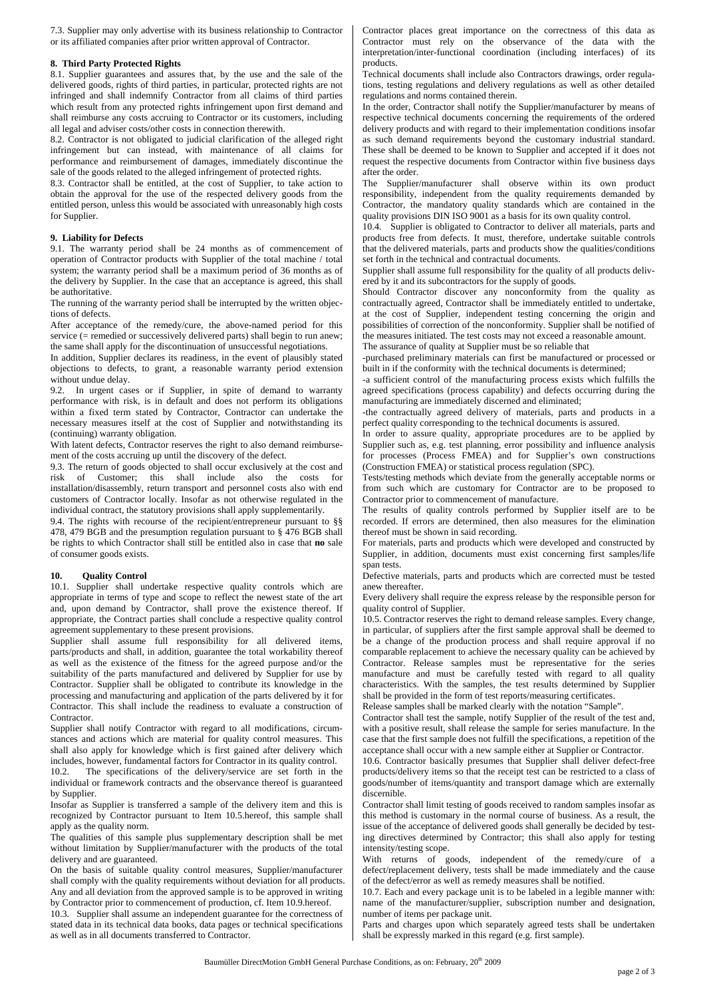7.3. Supplier may only advertise with its business relationship to Contractor or its affiliated companies after prior written approval of Contractor.

#### **8. Third Party Protected Rights**

8.1. Supplier guarantees and assures that, by the use and the sale of the delivered goods, rights of third parties, in particular, protected rights are not infringed and shall indemnify Contractor from all claims of third parties which result from any protected rights infringement upon first demand and shall reimburse any costs accruing to Contractor or its customers, including all legal and adviser costs/other costs in connection therewith.

8.2. Contractor is not obligated to judicial clarification of the alleged right infringement but can instead, with maintenance of all claims for performance and reimbursement of damages, immediately discontinue the sale of the goods related to the alleged infringement of protected rights.

8.3. Contractor shall be entitled, at the cost of Supplier, to take action to obtain the approval for the use of the respected delivery goods from the entitled person, unless this would be associated with unreasonably high costs for Supplier.

#### **9. Liability for Defects**

9.1. The warranty period shall be 24 months as of commencement of operation of Contractor products with Supplier of the total machine / total system; the warranty period shall be a maximum period of 36 months as of the delivery by Supplier. In the case that an acceptance is agreed, this shall be authoritative.

The running of the warranty period shall be interrupted by the written objections of defects.

After acceptance of the remedy/cure, the above-named period for this service (= remedied or successively delivered parts) shall begin to run anew; the same shall apply for the discontinuation of unsuccessful negotiations.

In addition, Supplier declares its readiness, in the event of plausibly stated objections to defects, to grant, a reasonable warranty period extension without undue delay.

9.2. In urgent cases or if Supplier, in spite of demand to warranty performance with risk, is in default and does not perform its obligations within a fixed term stated by Contractor, Contractor can undertake the necessary measures itself at the cost of Supplier and notwithstanding its (continuing) warranty obligation.

With latent defects, Contractor reserves the right to also demand reimbursement of the costs accruing up until the discovery of the defect.

9.3. The return of goods objected to shall occur exclusively at the cost and risk of Customer; this shall include also the costs for installation/disassembly, return transport and personnel costs also with end customers of Contractor locally. Insofar as not otherwise regulated in the individual contract, the statutory provisions shall apply supplementarily.

9.4. The rights with recourse of the recipient/entrepreneur pursuant to §§ 478, 479 BGB and the presumption regulation pursuant to § 476 BGB shall be rights to which Contractor shall still be entitled also in case that **no** sale of consumer goods exists.

### **10. Quality Control**

10.1. Supplier shall undertake respective quality controls which are appropriate in terms of type and scope to reflect the newest state of the art and, upon demand by Contractor, shall prove the existence thereof. If appropriate, the Contract parties shall conclude a respective quality control agreement supplementary to these present provisions.

Supplier shall assume full responsibility for all delivered items, parts/products and shall, in addition, guarantee the total workability thereof as well as the existence of the fitness for the agreed purpose and/or the suitability of the parts manufactured and delivered by Supplier for use by Contractor. Supplier shall be obligated to contribute its knowledge in the processing and manufacturing and application of the parts delivered by it for Contractor. This shall include the readiness to evaluate a construction of Contractor.

Supplier shall notify Contractor with regard to all modifications, circumstances and actions which are material for quality control measures. This shall also apply for knowledge which is first gained after delivery which includes, however, fundamental factors for Contractor in its quality control.<br>10.2. The specifications of the delivery/service are set forth in the

The specifications of the delivery/service are set forth in the individual or framework contracts and the observance thereof is guaranteed by Supplier.

Insofar as Supplier is transferred a sample of the delivery item and this is recognized by Contractor pursuant to Item 10.5.hereof, this sample shall apply as the quality norm.

The qualities of this sample plus supplementary description shall be met without limitation by Supplier/manufacturer with the products of the total delivery and are guaranteed.

On the basis of suitable quality control measures, Supplier/manufacturer shall comply with the quality requirements without deviation for all products. Any and all deviation from the approved sample is to be approved in writing by Contractor prior to commencement of production, cf. Item 10.9.hereof.

10.3. Supplier shall assume an independent guarantee for the correctness of stated data in its technical data books, data pages or technical specifications as well as in all documents transferred to Contractor.

Contractor places great importance on the correctness of this data as Contractor must rely on the observance of the data with the interpretation/inter-functional coordination (including interfaces) of its products.

Technical documents shall include also Contractors drawings, order regulations, testing regulations and delivery regulations as well as other detailed regulations and norms contained therein.

In the order, Contractor shall notify the Supplier/manufacturer by means of respective technical documents concerning the requirements of the ordered delivery products and with regard to their implementation conditions insofar as such demand requirements beyond the customary industrial standard. These shall be deemed to be known to Supplier and accepted if it does not request the respective documents from Contractor within five business days after the order.

The Supplier/manufacturer shall observe within its own product responsibility, independent from the quality requirements demanded by Contractor, the mandatory quality standards which are contained in the quality provisions DIN ISO 9001 as a basis for its own quality control.

10.4. Supplier is obligated to Contractor to deliver all materials, parts and products free from defects. It must, therefore, undertake suitable controls that the delivered materials, parts and products show the qualities/conditions set forth in the technical and contractual documents.

Supplier shall assume full responsibility for the quality of all products delivered by it and its subcontractors for the supply of goods.

Should Contractor discover any nonconformity from the quality as contractually agreed, Contractor shall be immediately entitled to undertake, at the cost of Supplier, independent testing concerning the origin and possibilities of correction of the nonconformity. Supplier shall be notified of the measures initiated. The test costs may not exceed a reasonable amount. The assurance of quality at Supplier must be so reliable that

-purchased preliminary materials can first be manufactured or processed or

built in if the conformity with the technical documents is determined; -a sufficient control of the manufacturing process exists which fulfills the agreed specifications (process capability) and defects occurring during the manufacturing are immediately discerned and eliminated;

-the contractually agreed delivery of materials, parts and products in a perfect quality corresponding to the technical documents is assured.

In order to assure quality, appropriate procedures are to be applied by Supplier such as, e.g. test planning, error possibility and influence analysis for processes (Process FMEA) and for Supplier's own constructions (Construction FMEA) or statistical process regulation (SPC).

Tests/testing methods which deviate from the generally acceptable norms or from such which are customary for Contractor are to be proposed to Contractor prior to commencement of manufacture.

The results of quality controls performed by Supplier itself are to be recorded. If errors are determined, then also measures for the elimination thereof must be shown in said recording.

For materials, parts and products which were developed and constructed by Supplier, in addition, documents must exist concerning first samples/life span tests.

Defective materials, parts and products which are corrected must be tested anew thereafter.

Every delivery shall require the express release by the responsible person for quality control of Supplier.

10.5. Contractor reserves the right to demand release samples. Every change, in particular, of suppliers after the first sample approval shall be deemed to be a change of the production process and shall require approval if no comparable replacement to achieve the necessary quality can be achieved by Contractor. Release samples must be representative for the series manufacture and must be carefully tested with regard to all quality characteristics. With the samples, the test results determined by Supplier shall be provided in the form of test reports/measuring certificates.

Release samples shall be marked clearly with the notation "Sample".

Contractor shall test the sample, notify Supplier of the result of the test and, with a positive result, shall release the sample for series manufacture. In the case that the first sample does not fulfill the specifications, a repetition of the acceptance shall occur with a new sample either at Supplier or Contractor.

10.6. Contractor basically presumes that Supplier shall deliver defect-free products/delivery items so that the receipt test can be restricted to a class of goods/number of items/quantity and transport damage which are externally discernible.

Contractor shall limit testing of goods received to random samples insofar as this method is customary in the normal course of business. As a result, the issue of the acceptance of delivered goods shall generally be decided by testing directives determined by Contractor; this shall also apply for testing intensity/testing scope.

With returns of goods, independent of the remedy/cure of a defect/replacement delivery, tests shall be made immediately and the cause of the defect/error as well as remedy measures shall be notified.

10.7. Each and every package unit is to be labeled in a legible manner with: name of the manufacturer/supplier, subscription number and designation, number of items per package unit.

Parts and charges upon which separately agreed tests shall be undertaken shall be expressly marked in this regard (e.g. first sample).